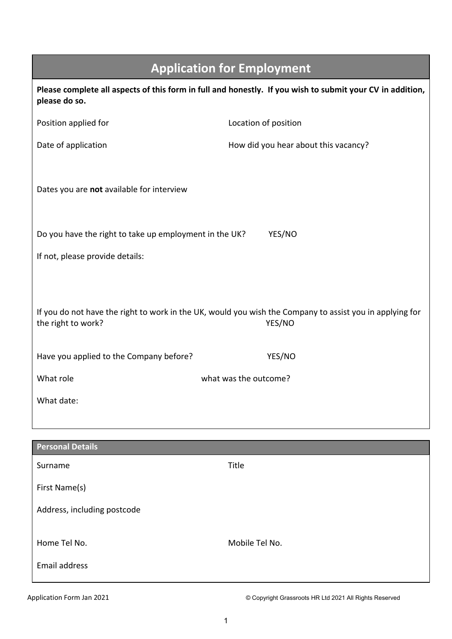|                                                               | <b>Application for Employment</b>                                                                                            |
|---------------------------------------------------------------|------------------------------------------------------------------------------------------------------------------------------|
| please do so.                                                 | Please complete all aspects of this form in full and honestly. If you wish to submit your CV in addition,                    |
| Position applied for                                          | Location of position                                                                                                         |
| Date of application                                           | How did you hear about this vacancy?                                                                                         |
| Dates you are not available for interview                     |                                                                                                                              |
| Do you have the right to take up employment in the UK?        | YES/NO                                                                                                                       |
| If not, please provide details:                               |                                                                                                                              |
| the right to work?<br>Have you applied to the Company before? | If you do not have the right to work in the UK, would you wish the Company to assist you in applying for<br>YES/NO<br>YES/NO |
| What role                                                     | what was the outcome?                                                                                                        |
| What date:                                                    |                                                                                                                              |
|                                                               |                                                                                                                              |
| <b>Personal Details</b>                                       |                                                                                                                              |
| Surname                                                       | Title                                                                                                                        |
| First Name(s)                                                 |                                                                                                                              |
| Address, including postcode                                   |                                                                                                                              |
| Home Tel No.                                                  | Mobile Tel No.                                                                                                               |
| Email address                                                 |                                                                                                                              |

I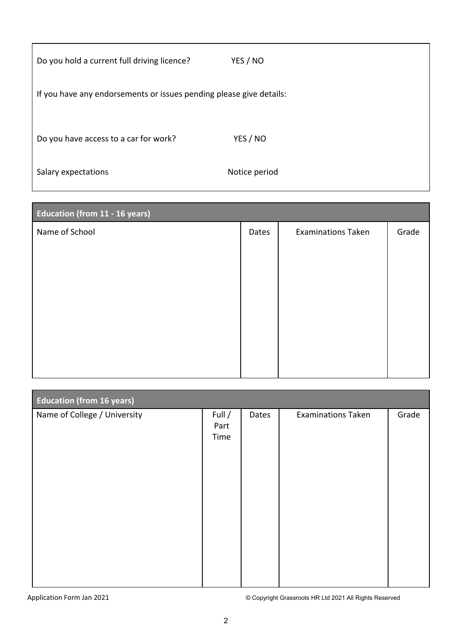| Do you hold a current full driving licence?                         | YES / NO      |
|---------------------------------------------------------------------|---------------|
| If you have any endorsements or issues pending please give details: |               |
| Do you have access to a car for work?                               | YES / NO      |
| Salary expectations                                                 | Notice period |

| <b>Education (from 11 - 16 years)</b> |       |                           |       |
|---------------------------------------|-------|---------------------------|-------|
| Name of School                        | Dates | <b>Examinations Taken</b> | Grade |
|                                       |       |                           |       |
|                                       |       |                           |       |
|                                       |       |                           |       |
|                                       |       |                           |       |
|                                       |       |                           |       |
|                                       |       |                           |       |
|                                       |       |                           |       |

| <b>Education (from 16 years)</b> |                        |       |                           |       |
|----------------------------------|------------------------|-------|---------------------------|-------|
| Name of College / University     | Full /<br>Part<br>Time | Dates | <b>Examinations Taken</b> | Grade |
|                                  |                        |       |                           |       |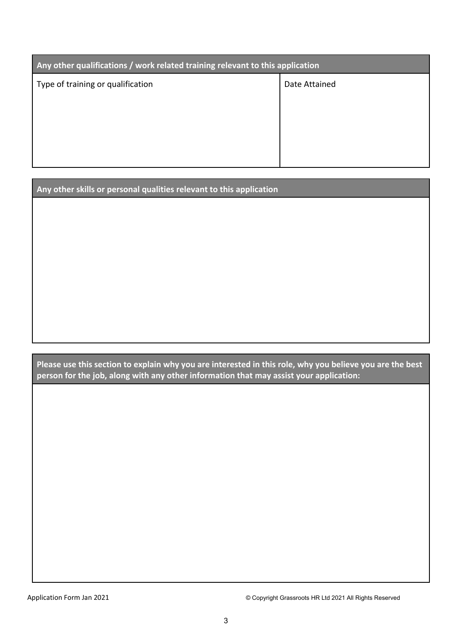| Any other qualifications / work related training relevant to this application |               |
|-------------------------------------------------------------------------------|---------------|
| Type of training or qualification                                             | Date Attained |
|                                                                               |               |
|                                                                               |               |
|                                                                               |               |
|                                                                               |               |

**Any other skills or personal qualities relevant to this application**

**Please use this section to explain why you are interested in this role, why you believe you are the best person for the job, along with any other information that may assist your application:**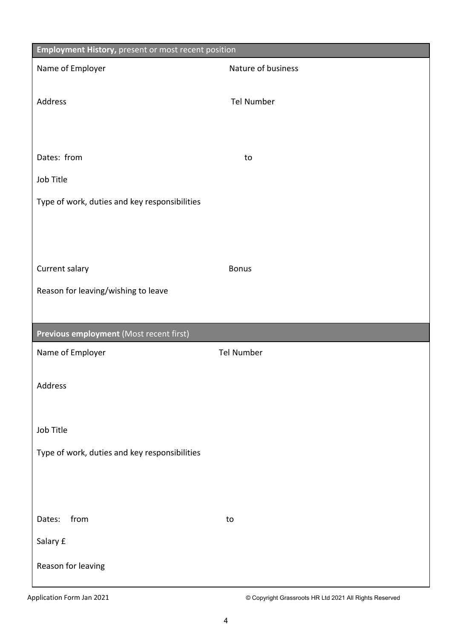| <b>Employment History, present or most recent position</b> |                    |
|------------------------------------------------------------|--------------------|
| Name of Employer                                           | Nature of business |
|                                                            |                    |
| Address                                                    | <b>Tel Number</b>  |
|                                                            |                    |
|                                                            |                    |
| Dates: from                                                | to                 |
| Job Title                                                  |                    |
| Type of work, duties and key responsibilities              |                    |
|                                                            |                    |
|                                                            |                    |
|                                                            |                    |
| Current salary                                             | <b>Bonus</b>       |
| Reason for leaving/wishing to leave                        |                    |
|                                                            |                    |
|                                                            |                    |
| Previous employment (Most recent first)                    |                    |
| Name of Employer                                           | <b>Tel Number</b>  |
|                                                            |                    |
| Address                                                    |                    |
|                                                            |                    |
| Job Title                                                  |                    |
| Type of work, duties and key responsibilities              |                    |
|                                                            |                    |
|                                                            |                    |
|                                                            |                    |
| from<br>Dates:                                             | to                 |
| Salary £                                                   |                    |
| Reason for leaving                                         |                    |
|                                                            |                    |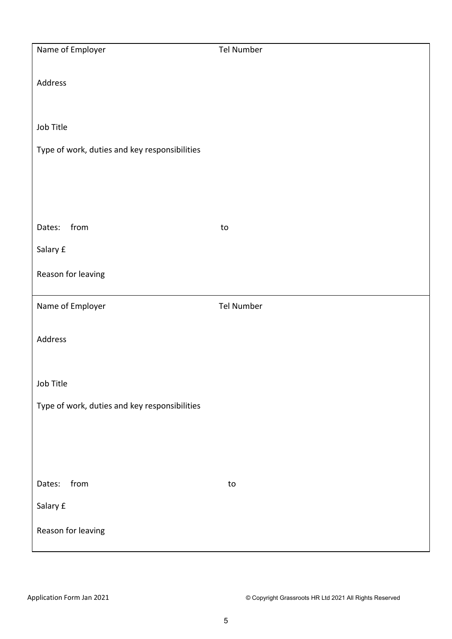| Name of Employer                              | Tel Number        |
|-----------------------------------------------|-------------------|
|                                               |                   |
| Address                                       |                   |
|                                               |                   |
| Job Title                                     |                   |
| Type of work, duties and key responsibilities |                   |
|                                               |                   |
|                                               |                   |
|                                               |                   |
| from<br>Dates:                                | to                |
| Salary £                                      |                   |
| Reason for leaving                            |                   |
|                                               |                   |
| Name of Employer                              | <b>Tel Number</b> |
| Address                                       |                   |
|                                               |                   |
| Job Title                                     |                   |
|                                               |                   |
| Type of work, duties and key responsibilities |                   |
|                                               |                   |
|                                               |                   |
| from<br>Dates:                                | to                |
| Salary £                                      |                   |
|                                               |                   |
| Reason for leaving                            |                   |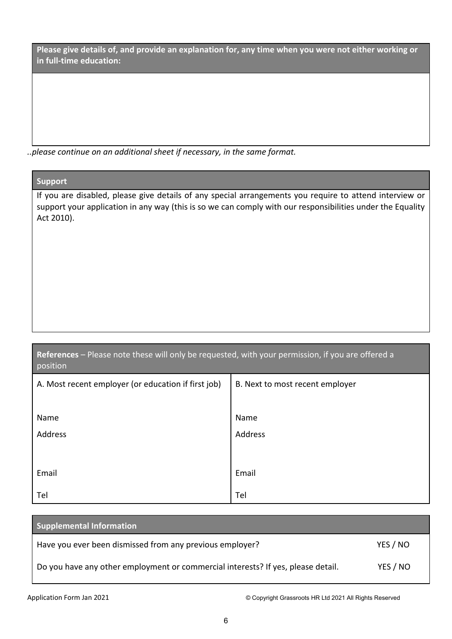**Please give details of, and provide an explanation for, any time when you were not either working or in full-time education:**

*..please continue on an additional sheet if necessary, in the same format.*

## **Support**

If you are disabled, please give details of any special arrangements you require to attend interview or support your application in any way (this is so we can comply with our responsibilities under the Equality Act 2010).

| References – Please note these will only be requested, with your permission, if you are offered a |  |  |
|---------------------------------------------------------------------------------------------------|--|--|
| position                                                                                          |  |  |

| A. Most recent employer (or education if first job) | B. Next to most recent employer |
|-----------------------------------------------------|---------------------------------|
|                                                     |                                 |
| Name                                                | Name                            |
| Address                                             | Address                         |
|                                                     |                                 |
| Email                                               | Email                           |
| Tel                                                 | Tel                             |

| <b>Supplemental Information</b>                                                  |          |
|----------------------------------------------------------------------------------|----------|
| Have you ever been dismissed from any previous employer?                         | YES / NO |
| Do you have any other employment or commercial interests? If yes, please detail. | YES / NO |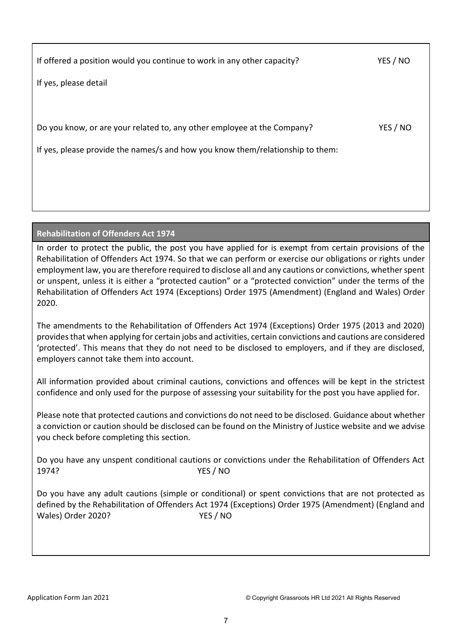| YES / NO |
|----------|
|          |
|          |
| YES / NO |
|          |
|          |
|          |
|          |

## **Rehabilitation of Offenders Act 1974**

In order to protect the public, the post you have applied for is exempt from certain provisions of the Rehabilitation of Offenders Act 1974. So that we can perform or exercise our obligations or rights under employment law, you are therefore required to disclose all and any cautions or convictions, whether spent or unspent, unless it is either a "protected caution" or a "protected conviction" under the terms of the Rehabilitation of Offenders Act 1974 (Exceptions) Order 1975 (Amendment) (England and Wales) Order 2020.

The amendments to the Rehabilitation of Offenders Act 1974 (Exceptions) Order 1975 (2013 and 2020) provides that when applying for certain jobs and activities, certain convictions and cautions are considered 'protected'. This means that they do not need to be disclosed to employers, and if they are disclosed, employers cannot take them into account.

All information provided about criminal cautions, convictions and offences will be kept in the strictest confidence and only used for the purpose of assessing your suitability for the post you have applied for.

Please note that protected cautions and convictions do not need to be disclosed. Guidance about whether a conviction or caution should be disclosed can be found on the Ministry of Justice website and we advise you check before completing this section.

Do you have any unspent conditional cautions or convictions under the Rehabilitation of Offenders Act 1974? YES / NO

Do you have any adult cautions (simple or conditional) or spent convictions that are not protected as defined by the Rehabilitation of Offenders Act 1974 (Exceptions) Order 1975 (Amendment) (England and Wales) Order 2020? YES / NO